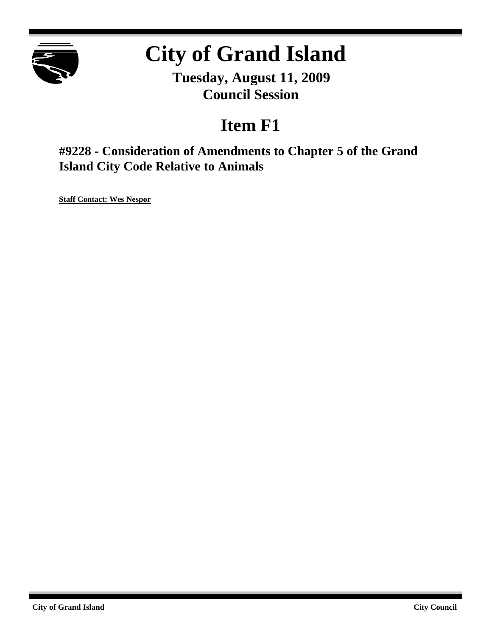

# **City of Grand Island**

**Tuesday, August 11, 2009 Council Session**

## **Item F1**

**#9228 - Consideration of Amendments to Chapter 5 of the Grand Island City Code Relative to Animals**

**Staff Contact: Wes Nespor**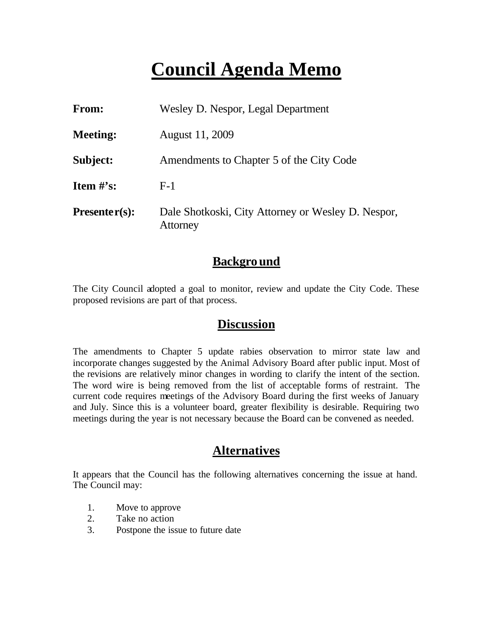## **Council Agenda Memo**

| <b>From:</b>                   | Wesley D. Nespor, Legal Department                             |
|--------------------------------|----------------------------------------------------------------|
| <b>Meeting:</b>                | August 11, 2009                                                |
| Subject:                       | Amendments to Chapter 5 of the City Code                       |
| <b>Item <math>\#</math>'s:</b> | $F-1$                                                          |
| $Presenter(s):$                | Dale Shotkoski, City Attorney or Wesley D. Nespor,<br>Attorney |

### **Background**

The City Council adopted a goal to monitor, review and update the City Code. These proposed revisions are part of that process.

### **Discussion**

The amendments to Chapter 5 update rabies observation to mirror state law and incorporate changes suggested by the Animal Advisory Board after public input. Most of the revisions are relatively minor changes in wording to clarify the intent of the section. The word wire is being removed from the list of acceptable forms of restraint. The current code requires meetings of the Advisory Board during the first weeks of January and July. Since this is a volunteer board, greater flexibility is desirable. Requiring two meetings during the year is not necessary because the Board can be convened as needed.

## **Alternatives**

It appears that the Council has the following alternatives concerning the issue at hand. The Council may:

- 1. Move to approve
- 2. Take no action
- 3. Postpone the issue to future date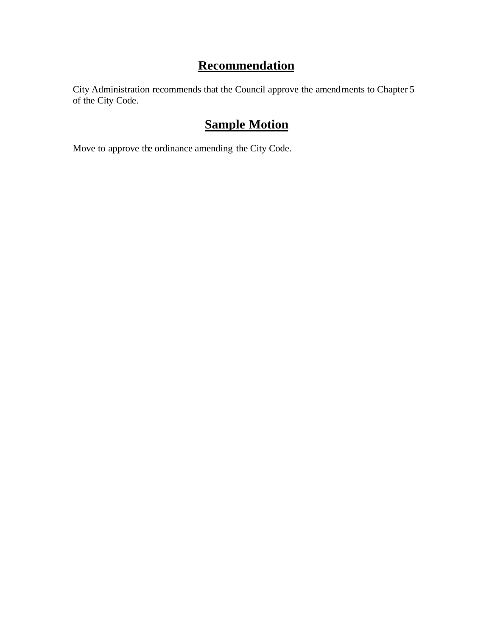## **Recommendation**

City Administration recommends that the Council approve the amendments to Chapter 5 of the City Code.

## **Sample Motion**

Move to approve the ordinance amending the City Code.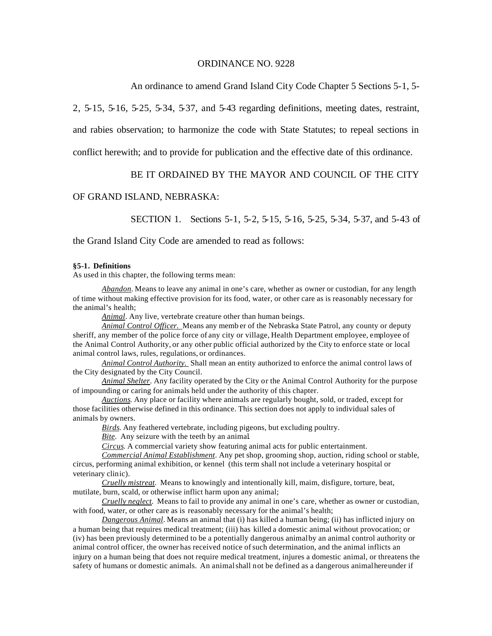#### ORDINANCE NO. 9228

An ordinance to amend Grand Island City Code Chapter 5 Sections 5-1, 5-

2, 5-15, 5-16, 5-25, 5-34, 5-37, and 5-43 regarding definitions, meeting dates, restraint, and rabies observation; to harmonize the code with State Statutes; to repeal sections in

conflict herewith; and to provide for publication and the effective date of this ordinance.

#### BE IT ORDAINED BY THE MAYOR AND COUNCIL OF THE CITY

#### OF GRAND ISLAND, NEBRASKA:

SECTION 1. Sections 5-1, 5-2, 5-15, 5-16, 5-25, 5-34, 5-37, and 5-43 of

the Grand Island City Code are amended to read as follows:

#### **§5-1. Definitions**

As used in this chapter, the following terms mean:

*Abandon*. Means to leave any animal in one's care, whether as owner or custodian, for any length of time without making effective provision for its food, water, or other care as is reasonably necessary for the animal's health;

*Animal*. Any live, vertebrate creature other than human beings.

*Animal Control Officer.* Means any memb er of the Nebraska State Patrol, any county or deputy sheriff, any member of the police force of any city or village, Health Department employee, employee of the Animal Control Authority, or any other public official authorized by the City to enforce state or local animal control laws, rules, regulations, or ordinances.

*Animal Control Authority.* Shall mean an entity authorized to enforce the animal control laws of the City designated by the City Council.

*Animal Shelter*. Any facility operated by the City or the Animal Control Authority for the purpose of impounding or caring for animals held under the authority of this chapter.

*Auctions*. Any place or facility where animals are regularly bought, sold, or traded, except for those facilities otherwise defined in this ordinance. This section does not apply to individual sales of animals by owners.

*Birds*. Any feathered vertebrate, including pigeons, but excluding poultry.

*Bite.* Any seizure with the teeth by an animal*.*

*Circus*. A commercial variety show featuring animal acts for public entertainment.

*Commercial Animal Establishment*. Any pet shop, grooming shop, auction, riding school or stable, circus, performing animal exhibition, or kennel (this term shall not include a veterinary hospital or veterinary clinic).

*Cruelly mistreat.* Means to knowingly and intentionally kill, maim, disfigure, torture, beat, mutilate, burn, scald, or otherwise inflict harm upon any animal;

*Cruelly neglect.* Means to fail to provide any animal in one's care, whether as owner or custodian, with food, water, or other care as is reasonably necessary for the animal's health;

*Dangerous Animal*. Means an animal that (i) has killed a human being; (ii) has inflicted injury on a human being that requires medical treatment; (iii) has killed a domestic animal without provocation; or (iv) has been previously determined to be a potentially dangerous animal by an animal control authority or animal control officer, the owner has received notice of such determination, and the animal inflicts an injury on a human being that does not require medical treatment, injures a domestic animal, or threatens the safety of humans or domestic animals. An animal shall not be defined as a dangerous animalhereunder if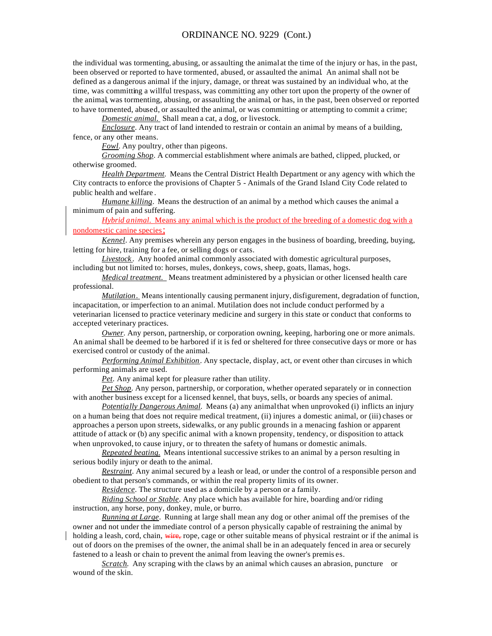the individual was tormenting, abusing, or assaulting the animal at the time of the injury or has, in the past, been observed or reported to have tormented, abused, or assaulted the animal. An animal shall not be defined as a dangerous animal if the injury, damage, or threat was sustained by an individual who, at the time, was committing a willful trespass, was committing any other tort upon the property of the owner of the animal, was tormenting, abusing, or assaulting the animal, or has, in the past, been observed or reported to have tormented, abused, or assaulted the animal, or was committing or attempting to commit a crime;

*Domestic animal.* Shall mean a cat, a dog, or livestock.

*Enclosure*. Any tract of land intended to restrain or contain an animal by means of a building, fence, or any other means.

*Fowl.* Any poultry, other than pigeons.

*Grooming Shop*. A commercial establishment where animals are bathed, clipped, plucked, or otherwise groomed.

*Health Department.* Means the Central District Health Department or any agency with which the City contracts to enforce the provisions of Chapter 5 - Animals of the Grand Island City Code related to public health and welfare .

*Humane killing*. Means the destruction of an animal by a method which causes the animal a minimum of pain and suffering.

*Hybrid animal.* Means any animal which is the product of the breeding of a domestic dog with a nondomestic canine species;

*Kennel*. Any premises wherein any person engages in the business of boarding, breeding, buying, letting for hire, training for a fee, or selling dogs or cats.

*Livestock .* Any hoofed animal commonly associated with domestic agricultural purposes, including but not limited to: horses, mules, donkeys, cows, sheep, goats, llamas, hogs.

*Medical treatment.* Means treatment administered by a physician or other licensed health care professional.

*Mutilation.* Means intentionally causing permanent injury, disfigurement, degradation of function, incapacitation, or imperfection to an animal. Mutilation does not include conduct performed by a veterinarian licensed to practice veterinary medicine and surgery in this state or conduct that conforms to accepted veterinary practices.

*Owner*. Any person, partnership, or corporation owning, keeping, harboring one or more animals. An animal shall be deemed to be harbored if it is fed or sheltered for three consecutive days or more or has exercised control or custody of the animal.

*Performing Animal Exhibition*. Any spectacle, display, act, or event other than circuses in which performing animals are used.

*Pet*. Any animal kept for pleasure rather than utility.

*Pet Shop*. Any person, partnership, or corporation, whether operated separately or in connection with another business except for a licensed kennel, that buys, sells, or boards any species of animal.

*Potentially Dangerous Animal.* Means (a) any animal that when unprovoked (i) inflicts an injury on a human being that does not require medical treatment, (ii) injures a domestic animal, or (iii) chases or approaches a person upon streets, sidewalks, or any public grounds in a menacing fashion or apparent attitude of attack or (b) any specific animal with a known propensity, tendency, or disposition to attack when unprovoked, to cause injury, or to threaten the safety of humans or domestic animals.

*Repeated beating.* Means intentional successive strikes to an animal by a person resulting in serious bodily injury or death to the animal.

*Restraint*. Any animal secured by a leash or lead, or under the control of a responsible person and obedient to that person's commands, or within the real property limits of its owner.

*Residence*. The structure used as a domicile by a person or a family.

*Riding School or Stable*. Any place which has available for hire, boarding and/or riding instruction, any horse, pony, donkey, mule, or burro.

*Running at Large*. Running at large shall mean any dog or other animal off the premises of the owner and not under the immediate control of a person physically capable of restraining the animal by holding a leash, cord, chain, wire, rope, cage or other suitable means of physical restraint or if the animal is out of doors on the premises of the owner, the animal shall be in an adequately fenced in area or securely fastened to a leash or chain to prevent the animal from leaving the owner's premis es.

*Scratch.* Any scraping with the claws by an animal which causes an abrasion, puncture or wound of the skin.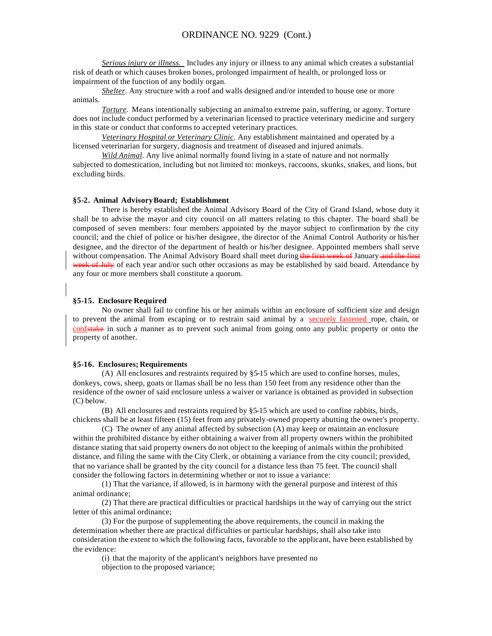*Serious injury or illness.* Includes any injury or illness to any animal which creates a substantial risk of death or which causes broken bones, prolonged impairment of health, or prolonged loss or impairment of the function of any bodily organ.

*Shelter*. Any structure with a roof and walls designed and/or intended to house one or more animals.

*Torture*. Means intentionally subjecting an animal to extreme pain, suffering, or agony. Torture does not include conduct performed by a veterinarian licensed to practice veterinary medicine and surgery in this state or conduct that conforms to accepted veterinary practices.

*Veterinary Hospital or Veterinary Clinic*. Any establishment maintained and operated by a licensed veterinarian for surgery, diagnosis and treatment of diseased and injured animals.

*Wild Animal*. Any live animal normally found living in a state of nature and not normally subjected to domestication, including but not limited to: monkeys, raccoons, skunks, snakes, and lions, but excluding birds.

#### **§5-2. Animal AdvisoryBoard; Establishment**

There is hereby established the Animal Advisory Board of the City of Grand Island, whose duty it shall be to advise the mayor and city council on all matters relating to this chapter. The board shall be composed of seven members: four members appointed by the mayor subject to confirmation by the city council; and the chief of police or his/her designee, the director of the Animal Control Authority or his/her designee, and the director of the department of health or his/her designee. Appointed members shall serve without compensation. The Animal Advisory Board shall meet during the first week of January and the first week of July of each year and/or such other occasions as may be established by said board. Attendance by any four or more members shall constitute a quorum.

#### **§5-15. Enclosure Required**

No owner shall fail to confine his or her animals within an enclosure of sufficient size and design to prevent the animal from escaping or to restrain said animal by a securely fastened rope, chain, or cordstake in such a manner as to prevent such animal from going onto any public property or onto the property of another.

#### **§5-16. Enclosures; Requirements**

(A) All enclosures and restraints required by §5-15 which are used to confine horses, mules, donkeys, cows, sheep, goats or llamas shall be no less than 150 feet from any residence other than the residence of the owner of said enclosure unless a waiver or variance is obtained as provided in subsection (C) below.

(B) All enclosures and restraints required by §5-15 which are used to confine rabbits, birds, chickens shall be at least fifteen (15) feet from any privately-owned property abutting the owner's property.

(C) The owner of any animal affected by subsection (A) may keep or maintain an enclosure within the prohibited distance by either obtaining a waiver from all property owners within the prohibited distance stating that said property owners do not object to the keeping of animals within the prohibited distance, and filing the same with the City Clerk, or obtaining a variance from the city council; provided, that no variance shall be granted by the city council for a distance less than 75 feet. The council shall consider the following factors in determining whether or not to issue a variance:

(1) That the variance, if allowed, is in harmony with the general purpose and interest of this animal ordinance;

(2) That there are practical difficulties or practical hardships in the way of carrying out the strict letter of this animal ordinance;

(3) For the purpose of supplementing the above requirements, the council in making the determination whether there are practical difficulties or particular hardships, shall also take into consideration the extent to which the following facts, favorable to the applicant, have been established by the evidence:

(i) that the majority of the applicant's neighbors have presented no objection to the proposed variance;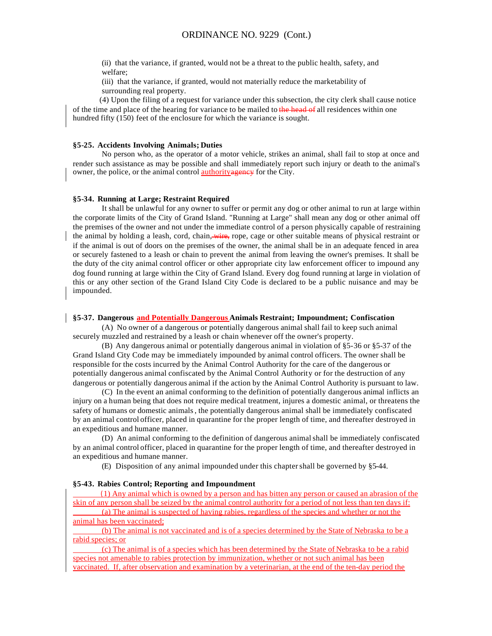(ii) that the variance, if granted, would not be a threat to the public health, safety, and welfare;

(iii) that the variance, if granted, would not materially reduce the marketability of surrounding real property.

 (4) Upon the filing of a request for variance under this subsection, the city clerk shall cause notice of the time and place of the hearing for variance to be mailed to the head of all residences within one hundred fifty (150) feet of the enclosure for which the variance is sought.

#### **§5-25. Accidents Involving Animals; Duties**

No person who, as the operator of a motor vehicle, strikes an animal, shall fail to stop at once and render such assistance as may be possible and shall immediately report such injury or death to the animal's owner, the police, or the animal control **authority agency** for the City.

#### **§5-34. Running at Large; Restraint Required**

It shall be unlawful for any owner to suffer or permit any dog or other animal to run at large within the corporate limits of the City of Grand Island. "Running at Large" shall mean any dog or other animal off the premises of the owner and not under the immediate control of a person physically capable of restraining the animal by holding a leash, cord, chain, wire, rope, cage or other suitable means of physical restraint or if the animal is out of doors on the premises of the owner, the animal shall be in an adequate fenced in area or securely fastened to a leash or chain to prevent the animal from leaving the owner's premises. It shall be the duty of the city animal control officer or other appropriate city law enforcement officer to impound any dog found running at large within the City of Grand Island. Every dog found running at large in violation of this or any other section of the Grand Island City Code is declared to be a public nuisance and may be impounded.

#### **§5-37. Dangerous and Potentially Dangerous Animals Restraint; Impoundment; Confiscation**

(A) No owner of a dangerous or potentially dangerous animal shall fail to keep such animal securely muzzled and restrained by a leash or chain whenever off the owner's property.

(B) Any dangerous animal or potentially dangerous animal in violation of §5-36 or §5-37 of the Grand Island City Code may be immediately impounded by animal control officers. The owner shall be responsible for the costs incurred by the Animal Control Authority for the care of the dangerous or potentially dangerous animal confiscated by the Animal Control Authority or for the destruction of any dangerous or potentially dangerous animal if the action by the Animal Control Authority is pursuant to law.

(C) In the event an animal conforming to the definition of potentially dangerous animal inflicts an injury on a human being that does not require medical treatment, injures a domestic animal, or threatens the safety of humans or domestic animals, the potentially dangerous animal shall be immediately confiscated by an animal control officer, placed in quarantine for the proper length of time, and thereafter destroyed in an expeditious and humane manner.

(D) An animal conforming to the definition of dangerous animal shall be immediately confiscated by an animal control officer, placed in quarantine for the proper length of time, and thereafter destroyed in an expeditious and humane manner.

(E) Disposition of any animal impounded under this chapter shall be governed by §5-44.

#### **§5-43. Rabies Control; Reporting and Impoundment**

(1) Any animal which is owned by a person and has bitten any person or caused an abrasion of the skin of any person shall be seized by the animal control authority for a period of not less than ten days if: (a) The animal is suspected of having rabies, regardless of the species and whether or not the animal has been vaccinated;

(b) The animal is not vaccinated and is of a species determined by the State of Nebraska to be a rabid species; or

(c) The animal is of a species which has been determined by the State of Nebraska to be a rabid species not amenable to rabies protection by immunization, whether or not such animal has been vaccinated. If, after observation and examination by a veterinarian, at the end of the ten-day period the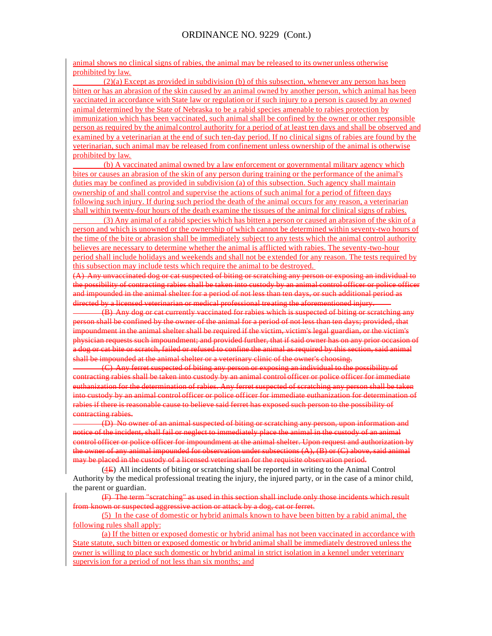animal shows no clinical signs of rabies, the animal may be released to its owner unless otherwise prohibited by law.

 (2)(a) Except as provided in subdivision (b) of this subsection, whenever any person has been bitten or has an abrasion of the skin caused by an animal owned by another person, which animal has been vaccinated in accordance with State law or regulation or if such injury to a person is caused by an owned animal determined by the State of Nebraska to be a rabid species amenable to rabies protection by immunization which has been vaccinated, such animal shall be confined by the owner or other responsible person as required by the animal control authority for a period of at least ten days and shall be observed and examined by a veterinarian at the end of such ten-day period. If no clinical signs of rabies are found by the veterinarian, such animal may be released from confinement unless ownership of the animal is otherwise prohibited by law.

 (b) A vaccinated animal owned by a law enforcement or governmental military agency which bites or causes an abrasion of the skin of any person during training or the performance of the animal's duties may be confined as provided in subdivision (a) of this subsection. Such agency shall maintain ownership of and shall control and supervise the actions of such animal for a period of fifteen days following such injury. If during such period the death of the animal occurs for any reason, a veterinarian shall within twenty-four hours of the death examine the tissues of the animal for clinical signs of rabies.

 (3) Any animal of a rabid species which has bitten a person or caused an abrasion of the skin of a person and which is unowned or the ownership of which cannot be determined within seventy-two hours of the time of the bite or abrasion shall be immediately subject to any tests which the animal control authority believes are necessary to determine whether the animal is afflicted with rabies. The seventy-two-hour period shall include holidays and weekends and shall not be extended for any reason. The tests required by this subsection may include tests which require the animal to be destroyed.

(A) Any unvaccinated dog or cat suspected of biting or scratching any person or exposing an individual to the possibility of contracting rabies shall be taken into custody by an animal control officer or police officer and impounded in the animal shelter for a period of not less than ten days, or such additional period as directed by a licensed veterinarian or medical professional treating the aforementioned injury.

(B) Any dog or cat currently vaccinated for rabies which is suspected of biting or scratching any person shall be confined by the owner of the animal for a period of not less than ten days; provided, that impoundment in the animal shelter shall be required if the victim, victim's legal guardian, or the victim's physician requests such impoundment; and provided further, that if said owner has on any prior occasion of a dog or cat bite or scratch, failed or refused to confine the animal as required by this section, said animal shall be impounded at the animal shelter or a veterinary clinic of the owner's choosing.

(C) Any ferret suspected of biting any person or exposing an individual to the possibility of contracting rabies shall be taken into custody by an animal control officer or police officer for immediate euthanization for the determination of rabies. Any ferret suspected of scratching any person shall be taken into custody by an animal control officer or police officer for immediate euthanization for determination of rabies if there is reasonable cause to believe said ferret has exposed such person to the possibility of contracting rabies.

(D) No owner of an animal suspected of biting or scratching any person, upon information and notice of the incident, shall fail or neglect to immediately place the animal in the custody of an animal control officer or police officer for impoundment at the animal shelter. Upon request and authorization by the owner of any animal impounded for observation under subsections  $(A)$ ,  $(B)$  or  $(C)$  above, said animal may be placed in the custody of a licensed veterinarian for the requisite observation period.

 $(4E)$  All incidents of biting or scratching shall be reported in writing to the Animal Control Authority by the medical professional treating the injury, the injured party, or in the case of a minor child, the parent or guardian.

(F) The term "scratching" as used in this section shall include only those incidents which result from known or suspected aggressive action or attack by a dog, cat or ferret.

(5) In the case of domestic or hybrid animals known to have been bitten by a rabid animal, the following rules shall apply:

(a) If the bitten or exposed domestic or hybrid animal has not been vaccinated in accordance with State statute, such bitten or exposed domestic or hybrid animal shall be immediately destroyed unless the owner is willing to place such domestic or hybrid animal in strict isolation in a kennel under veterinary supervision for a period of not less than six months; and